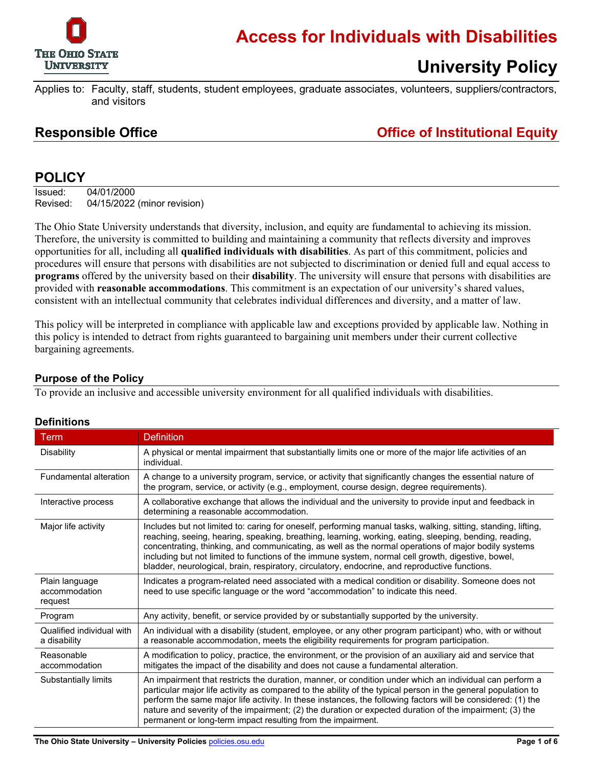

### **Access for Individuals with Disabilities**

# **University Policy**

Applies to: Faculty, staff, students, student employees, graduate associates, volunteers, suppliers/contractors, and visitors

### **Responsible Office Office of Institutional Equity**

### **POLICY**

Issued: 04/01/2000 Revised: 04/15/2022 (minor revision)

The Ohio State University understands that diversity, inclusion, and equity are fundamental to achieving its mission. Therefore, the university is committed to building and maintaining a community that reflects diversity and improves opportunities for all, including all **qualified individuals with disabilities**. As part of this commitment, policies and procedures will ensure that persons with disabilities are not subjected to discrimination or denied full and equal access to **programs** offered by the university based on their **disability**. The university will ensure that persons with disabilities are provided with **reasonable accommodations**. This commitment is an expectation of our university's shared values, consistent with an intellectual community that celebrates individual differences and diversity, and a matter of law.

This policy will be interpreted in compliance with applicable law and exceptions provided by applicable law. Nothing in this policy is intended to detract from rights guaranteed to bargaining unit members under their current collective bargaining agreements.

### **Purpose of the Policy**

To provide an inclusive and accessible university environment for all qualified individuals with disabilities.

| <b>Term</b>                                | <b>Definition</b>                                                                                                                                                                                                                                                                                                                                                                                                                                                                                                                        |  |
|--------------------------------------------|------------------------------------------------------------------------------------------------------------------------------------------------------------------------------------------------------------------------------------------------------------------------------------------------------------------------------------------------------------------------------------------------------------------------------------------------------------------------------------------------------------------------------------------|--|
| Disability                                 | A physical or mental impairment that substantially limits one or more of the major life activities of an<br>individual.                                                                                                                                                                                                                                                                                                                                                                                                                  |  |
| <b>Fundamental alteration</b>              | A change to a university program, service, or activity that significantly changes the essential nature of<br>the program, service, or activity (e.g., employment, course design, degree requirements).                                                                                                                                                                                                                                                                                                                                   |  |
| Interactive process                        | A collaborative exchange that allows the individual and the university to provide input and feedback in<br>determining a reasonable accommodation.                                                                                                                                                                                                                                                                                                                                                                                       |  |
| Major life activity                        | Includes but not limited to: caring for oneself, performing manual tasks, walking, sitting, standing, lifting,<br>reaching, seeing, hearing, speaking, breathing, learning, working, eating, sleeping, bending, reading,<br>concentrating, thinking, and communicating, as well as the normal operations of major bodily systems<br>including but not limited to functions of the immune system, normal cell growth, digestive, bowel,<br>bladder, neurological, brain, respiratory, circulatory, endocrine, and reproductive functions. |  |
| Plain language<br>accommodation<br>request | Indicates a program-related need associated with a medical condition or disability. Someone does not<br>need to use specific language or the word "accommodation" to indicate this need.                                                                                                                                                                                                                                                                                                                                                 |  |
| Program                                    | Any activity, benefit, or service provided by or substantially supported by the university.                                                                                                                                                                                                                                                                                                                                                                                                                                              |  |
| Qualified individual with<br>a disability  | An individual with a disability (student, employee, or any other program participant) who, with or without<br>a reasonable accommodation, meets the eligibility requirements for program participation.                                                                                                                                                                                                                                                                                                                                  |  |
| Reasonable<br>accommodation                | A modification to policy, practice, the environment, or the provision of an auxiliary aid and service that<br>mitigates the impact of the disability and does not cause a fundamental alteration.                                                                                                                                                                                                                                                                                                                                        |  |
| Substantially limits                       | An impairment that restricts the duration, manner, or condition under which an individual can perform a<br>particular major life activity as compared to the ability of the typical person in the general population to<br>perform the same major life activity. In these instances, the following factors will be considered: (1) the<br>nature and severity of the impairment; (2) the duration or expected duration of the impairment; (3) the<br>permanent or long-term impact resulting from the impairment.                        |  |

### **Definitions**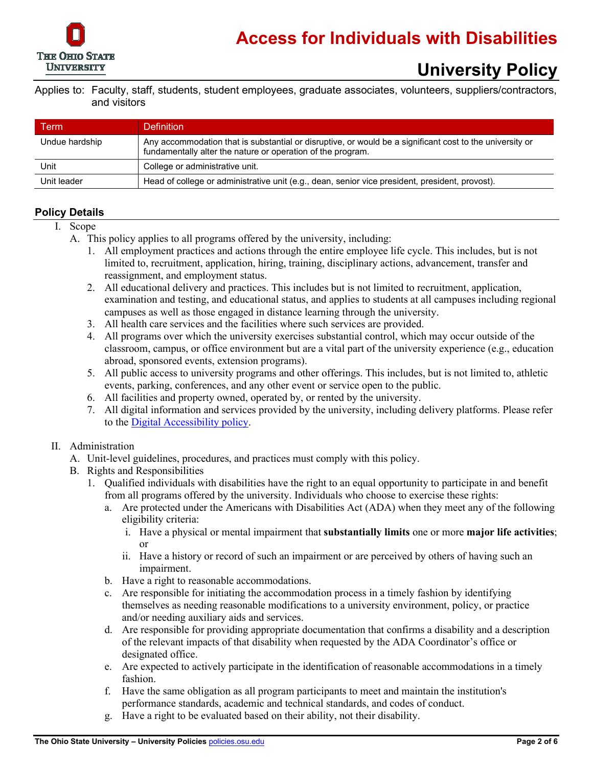

Applies to: Faculty, staff, students, student employees, graduate associates, volunteers, suppliers/contractors, and visitors

| Гerm           | <b>Definition</b>                                                                                                                                                       |
|----------------|-------------------------------------------------------------------------------------------------------------------------------------------------------------------------|
| Undue hardship | Any accommodation that is substantial or disruptive, or would be a significant cost to the university or<br>fundamentally alter the nature or operation of the program. |
| Unit           | College or administrative unit.                                                                                                                                         |
| Unit leader    | Head of college or administrative unit (e.g., dean, senior vice president, president, provost).                                                                         |

### **Policy Details**

- I. Scope
	- A. This policy applies to all programs offered by the university, including:
		- 1. All employment practices and actions through the entire employee life cycle. This includes, but is not limited to, recruitment, application, hiring, training, disciplinary actions, advancement, transfer and reassignment, and employment status.
		- 2. All educational delivery and practices. This includes but is not limited to recruitment, application, examination and testing, and educational status, and applies to students at all campuses including regional campuses as well as those engaged in distance learning through the university.
		- 3. All health care services and the facilities where such services are provided.
		- 4. All programs over which the university exercises substantial control, which may occur outside of the classroom, campus, or office environment but are a vital part of the university experience (e.g., education abroad, sponsored events, extension programs).
		- 5. All public access to university programs and other offerings. This includes, but is not limited to, athletic events, parking, conferences, and any other event or service open to the public.
		- 6. All facilities and property owned, operated by, or rented by the university.
		- 7. All digital information and services provided by the university, including delivery platforms. Please refer to the [Digital Accessibility policy.](https://go.osu.edu/accessibility-policy)

#### II. Administration

- A. Unit-level guidelines, procedures, and practices must comply with this policy.
- B. Rights and Responsibilities
	- 1. Qualified individuals with disabilities have the right to an equal opportunity to participate in and benefit from all programs offered by the university. Individuals who choose to exercise these rights:
		- a. Are protected under the Americans with Disabilities Act (ADA) when they meet any of the following eligibility criteria:
			- i. Have a physical or mental impairment that **substantially limits** one or more **major life activities**; or
			- ii. Have a history or record of such an impairment or are perceived by others of having such an impairment.
		- b. Have a right to reasonable accommodations.
		- c. Are responsible for initiating the accommodation process in a timely fashion by identifying themselves as needing reasonable modifications to a university environment, policy, or practice and/or needing auxiliary aids and services.
		- d. Are responsible for providing appropriate documentation that confirms a disability and a description of the relevant impacts of that disability when requested by the ADA Coordinator's office or designated office.
		- e. Are expected to actively participate in the identification of reasonable accommodations in a timely fashion.
		- f. Have the same obligation as all program participants to meet and maintain the institution's performance standards, academic and technical standards, and codes of conduct.
		- g. Have a right to be evaluated based on their ability, not their disability.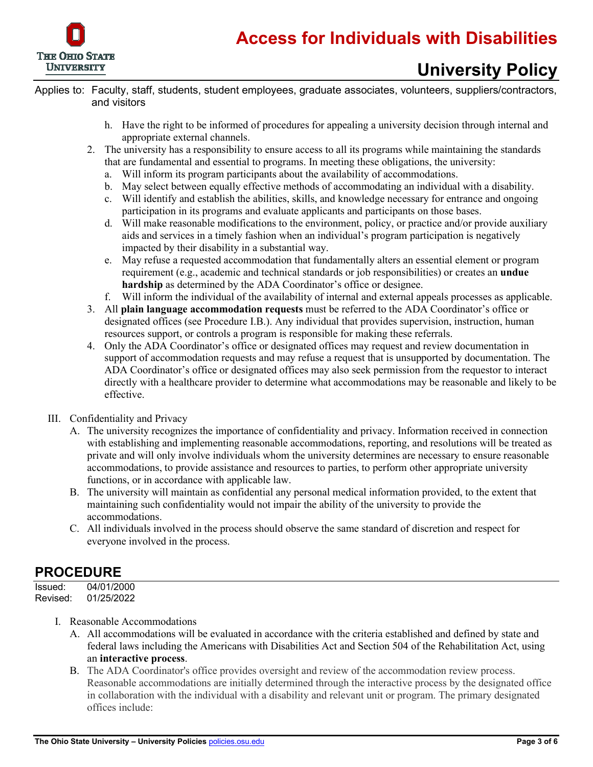

Applies to: Faculty, staff, students, student employees, graduate associates, volunteers, suppliers/contractors, and visitors

- h. Have the right to be informed of procedures for appealing a university decision through internal and appropriate external channels.
- 2. The university has a responsibility to ensure access to all its programs while maintaining the standards that are fundamental and essential to programs. In meeting these obligations, the university:
	- a. Will inform its program participants about the availability of accommodations.
	- b. May select between equally effective methods of accommodating an individual with a disability.
	- c. Will identify and establish the abilities, skills, and knowledge necessary for entrance and ongoing participation in its programs and evaluate applicants and participants on those bases.
	- d. Will make reasonable modifications to the environment, policy, or practice and/or provide auxiliary aids and services in a timely fashion when an individual's program participation is negatively impacted by their disability in a substantial way.
	- e. May refuse a requested accommodation that fundamentally alters an essential element or program requirement (e.g., academic and technical standards or job responsibilities) or creates an **undue hardship** as determined by the ADA Coordinator's office or designee.
	- f. Will inform the individual of the availability of internal and external appeals processes as applicable.
- 3. All **plain language accommodation requests** must be referred to the ADA Coordinator's office or designated offices (see Procedure I.B.). Any individual that provides supervision, instruction, human resources support, or controls a program is responsible for making these referrals.
- 4. Only the ADA Coordinator's office or designated offices may request and review documentation in support of accommodation requests and may refuse a request that is unsupported by documentation. The ADA Coordinator's office or designated offices may also seek permission from the requestor to interact directly with a healthcare provider to determine what accommodations may be reasonable and likely to be effective.
- III. Confidentiality and Privacy
	- A. The university recognizes the importance of confidentiality and privacy. Information received in connection with establishing and implementing reasonable accommodations, reporting, and resolutions will be treated as private and will only involve individuals whom the university determines are necessary to ensure reasonable accommodations, to provide assistance and resources to parties, to perform other appropriate university functions, or in accordance with applicable law.
	- B. The university will maintain as confidential any personal medical information provided, to the extent that maintaining such confidentiality would not impair the ability of the university to provide the accommodations.
	- C. All individuals involved in the process should observe the same standard of discretion and respect for everyone involved in the process.

### **PROCEDURE**

Issued: 04/01/2000 Revised: 01/25/2022

- I. Reasonable Accommodations
	- A. All accommodations will be evaluated in accordance with the criteria established and defined by state and federal laws including the Americans with Disabilities Act and Section 504 of the Rehabilitation Act, using an **interactive process**.
	- B. The ADA Coordinator's office provides oversight and review of the accommodation review process. Reasonable accommodations are initially determined through the interactive process by the designated office in collaboration with the individual with a disability and relevant unit or program. The primary designated offices include: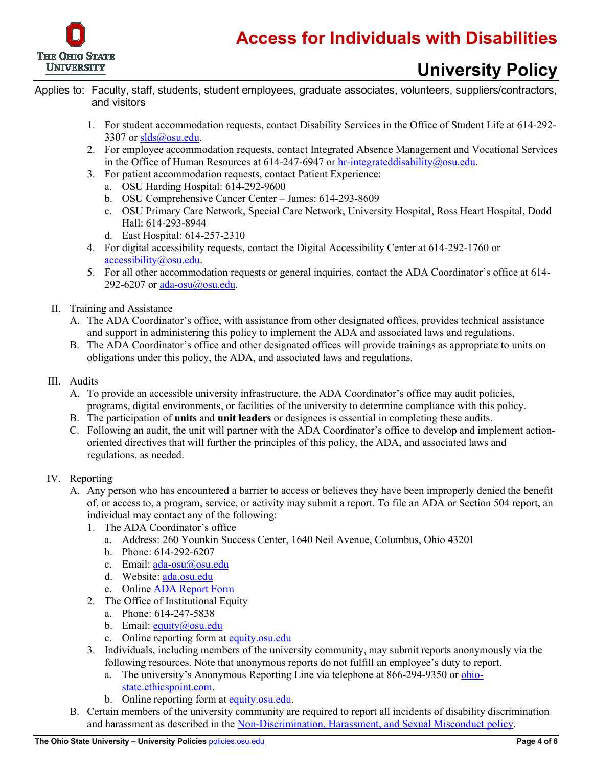

- Applies to: Faculty, staff, students, student employees, graduate associates, volunteers, suppliers/contractors, and visitors
	- 1. For student accommodation requests, contact Disability Services in the Office of Student Life at 614-292 3307 o[r slds@osu.edu.](mailto:slds@osu.edu)
	- 2. For employee accommodation requests, contact Integrated Absence Management and Vocational Services in the Office of Human Resources at  $614-247-6947$  or hr-integrateddisability $@$ osu.edu.
	- 3. For patient accommodation requests, contact Patient Experience:
		- a. OSU Harding Hospital: 614-292-9600
		- b. OSU Comprehensive Cancer Center James: 614-293-8609
		- c. OSU Primary Care Network, Special Care Network, University Hospital, Ross Heart Hospital, Dodd Hall: 614-293-8944
		- d. East Hospital: 614-257-2310
	- 4. For digital accessibility requests, contact the Digital Accessibility Center at 614-292-1760 or [accessibility@osu.edu.](mailto:accessibility@osu.edu)
	- 5. For all other accommodation requests or general inquiries, contact the ADA Coordinator's office at 614 292-6207 or [ada-osu@osu.edu.](mailto:ada-osu@osu.edu)
	- II. Training and Assistance
		- A. The ADA Coordinator's office, with assistance from other designated offices, provides technical assistance and support in administering this policy to implement the ADA and associated laws and regulations.
		- B. The ADA Coordinator's office and other designated offices will provide trainings as appropriate to units on obligations under this policy, the ADA, and associated laws and regulations.
	- III. Audits
		- A. To provide an accessible university infrastructure, the ADA Coordinator's office may audit policies, programs, digital environments, or facilities of the university to determine compliance with this policy.
		- B. The participation of **units** and **unit leaders** or designees is essential in completing these audits.
		- C. Following an audit, the unit will partner with the ADA Coordinator's office to develop and implement actionoriented directives that will further the principles of this policy, the ADA, and associated laws and regulations, as needed.

#### IV. Reporting

- A. Any person who has encountered a barrier to access or believes they have been improperly denied the benefit of, or access to, a program, service, or activity may submit a report. To file an ADA or Section 504 report, an individual may contact any of the following:
	- 1. The ADA Coordinator's office
		- a. Address: 260 Younkin Success Center, 1640 Neil Avenue, Columbus, Ohio 43201
		- b. Phone: 614-292-6207
		- c. Email: [ada-osu@osu.edu](mailto:ada-osu@osu.edu)
		- d. Website: [ada.osu.edu](https://ada.osu.edu/)
		- e. Onlin[e ADA Report Form](https://go.osu.edu/access-concerns)
	- 2. The Office of Institutional Equity
		- a. Phone: 614-247-5838
		- b. Email: [equity@osu.edu](mailto:equity@osu.edu)
		- c. Online reporting form at [equity.osu.edu](https://equity.osu.edu/)
	- 3. Individuals, including members of the university community, may submit reports anonymously via the following resources. Note that anonymous reports do not fulfill an employee's duty to report.
		- a. The university's Anonymous Reporting Line via telephone at 866-294-9350 or [ohio](https://secure.ethicspoint.com/domain/media/en/gui/7689/index.html)[state.ethicspoint.com.](https://secure.ethicspoint.com/domain/media/en/gui/7689/index.html)
		- b. Online reporting form at [equity.osu.edu.](https://equity.osu.edu/)
- B. Certain members of the university community are required to report all incidents of disability discrimination and harassment as described in the [Non-Discrimination, Harassment, and Sexual Misconduct policy.](https://go.osu.edu/non-discrimination-policy)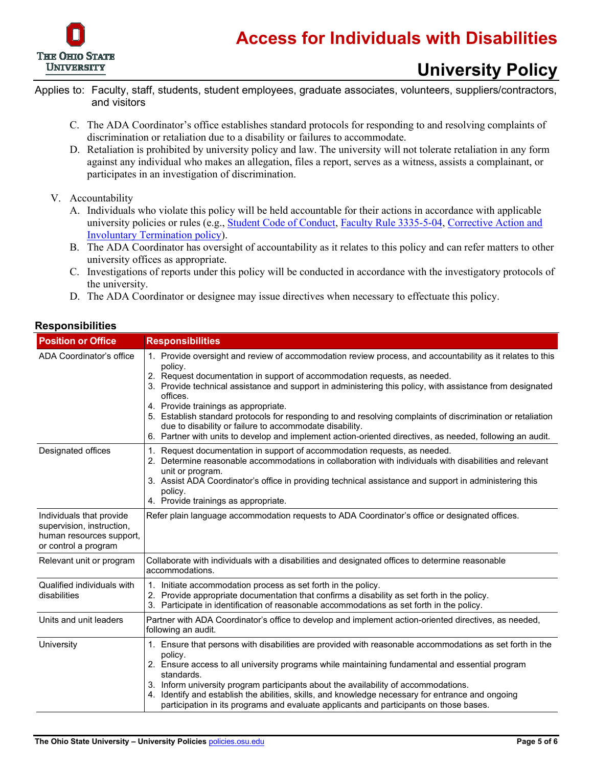

- Applies to: Faculty, staff, students, student employees, graduate associates, volunteers, suppliers/contractors, and visitors
	- C. The ADA Coordinator's office establishes standard protocols for responding to and resolving complaints of discrimination or retaliation due to a disability or failures to accommodate.
	- D. Retaliation is prohibited by university policy and law. The university will not tolerate retaliation in any form against any individual who makes an allegation, files a report, serves as a witness, assists a complainant, or participates in an investigation of discrimination.
	- V. Accountability
		- A. Individuals who violate this policy will be held accountable for their actions in accordance with applicable university policies or rules (e.g., [Student Code of Conduct,](https://trustees.osu.edu/bylaws-and-rules/code) [Faculty Rule 3335-5-04,](https://trustees.osu.edu/bylaws-and-rules/3335-5) [Corrective Action and](http://hr.osu.edu/policy/policy815.pdf)  [Involuntary Termination policy\)](http://hr.osu.edu/policy/policy815.pdf).
		- B. The ADA Coordinator has oversight of accountability as it relates to this policy and can refer matters to other university offices as appropriate.
		- C. Investigations of reports under this policy will be conducted in accordance with the investigatory protocols of the university.
		- D. The ADA Coordinator or designee may issue directives when necessary to effectuate this policy.

| <b>Position or Office</b>                                                                                 | <b>Responsibilities</b>                                                                                                                                                                                                                                                                                                                                                                                                                                                                                                                                                                                                                                   |  |
|-----------------------------------------------------------------------------------------------------------|-----------------------------------------------------------------------------------------------------------------------------------------------------------------------------------------------------------------------------------------------------------------------------------------------------------------------------------------------------------------------------------------------------------------------------------------------------------------------------------------------------------------------------------------------------------------------------------------------------------------------------------------------------------|--|
| ADA Coordinator's office                                                                                  | 1. Provide oversight and review of accommodation review process, and accountability as it relates to this<br>policy.<br>2. Request documentation in support of accommodation requests, as needed.<br>3. Provide technical assistance and support in administering this policy, with assistance from designated<br>offices.<br>4. Provide trainings as appropriate.<br>5. Establish standard protocols for responding to and resolving complaints of discrimination or retaliation<br>due to disability or failure to accommodate disability.<br>6. Partner with units to develop and implement action-oriented directives, as needed, following an audit. |  |
| Designated offices                                                                                        | 1. Request documentation in support of accommodation requests, as needed.<br>2. Determine reasonable accommodations in collaboration with individuals with disabilities and relevant<br>unit or program.<br>3. Assist ADA Coordinator's office in providing technical assistance and support in administering this<br>policy.<br>4. Provide trainings as appropriate.                                                                                                                                                                                                                                                                                     |  |
| Individuals that provide<br>supervision, instruction,<br>human resources support,<br>or control a program | Refer plain language accommodation requests to ADA Coordinator's office or designated offices.                                                                                                                                                                                                                                                                                                                                                                                                                                                                                                                                                            |  |
| Relevant unit or program                                                                                  | Collaborate with individuals with a disabilities and designated offices to determine reasonable<br>accommodations.                                                                                                                                                                                                                                                                                                                                                                                                                                                                                                                                        |  |
| Qualified individuals with<br>disabilities                                                                | 1. Initiate accommodation process as set forth in the policy.<br>2. Provide appropriate documentation that confirms a disability as set forth in the policy.<br>3. Participate in identification of reasonable accommodations as set forth in the policy.                                                                                                                                                                                                                                                                                                                                                                                                 |  |
| Units and unit leaders                                                                                    | Partner with ADA Coordinator's office to develop and implement action-oriented directives, as needed,<br>following an audit.                                                                                                                                                                                                                                                                                                                                                                                                                                                                                                                              |  |
| University                                                                                                | 1. Ensure that persons with disabilities are provided with reasonable accommodations as set forth in the<br>policy.<br>2. Ensure access to all university programs while maintaining fundamental and essential program<br>standards.<br>3. Inform university program participants about the availability of accommodations.<br>4. Identify and establish the abilities, skills, and knowledge necessary for entrance and ongoing<br>participation in its programs and evaluate applicants and participants on those bases.                                                                                                                                |  |

#### **Responsibilities**